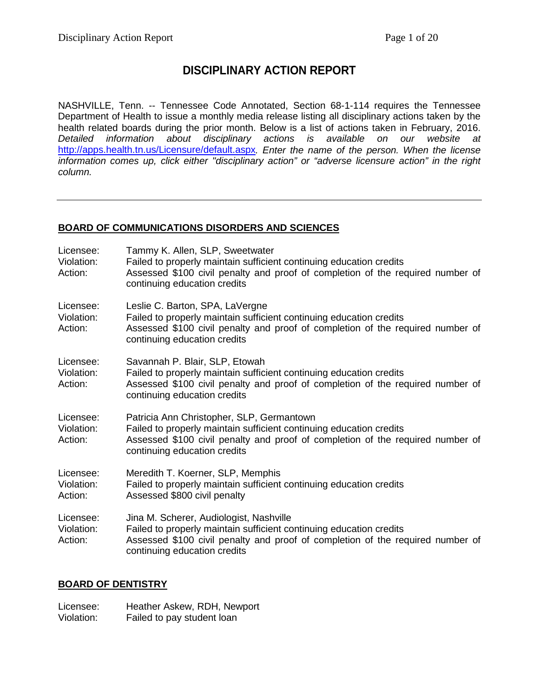# **DISCIPLINARY ACTION REPORT**

NASHVILLE, Tenn. -- Tennessee Code Annotated, Section 68-1-114 requires the Tennessee Department of Health to issue a monthly media release listing all disciplinary actions taken by the health related boards during the prior month. Below is a list of actions taken in February, 2016. *Detailed information about disciplinary actions is available on our website at* <http://apps.health.tn.us/Licensure/default.aspx>*. Enter the name of the person. When the license information comes up, click either "disciplinary action" or "adverse licensure action" in the right column.*

### **BOARD OF COMMUNICATIONS DISORDERS AND SCIENCES**

| Licensee:<br>Violation:<br>Action: | Tammy K. Allen, SLP, Sweetwater<br>Failed to properly maintain sufficient continuing education credits<br>Assessed \$100 civil penalty and proof of completion of the required number of<br>continuing education credits           |
|------------------------------------|------------------------------------------------------------------------------------------------------------------------------------------------------------------------------------------------------------------------------------|
| Licensee:<br>Violation:<br>Action: | Leslie C. Barton, SPA, LaVergne<br>Failed to properly maintain sufficient continuing education credits<br>Assessed \$100 civil penalty and proof of completion of the required number of<br>continuing education credits           |
| Licensee:<br>Violation:<br>Action: | Savannah P. Blair, SLP, Etowah<br>Failed to properly maintain sufficient continuing education credits<br>Assessed \$100 civil penalty and proof of completion of the required number of<br>continuing education credits            |
| Licensee:<br>Violation:<br>Action: | Patricia Ann Christopher, SLP, Germantown<br>Failed to properly maintain sufficient continuing education credits<br>Assessed \$100 civil penalty and proof of completion of the required number of<br>continuing education credits |
| Licensee:<br>Violation:<br>Action: | Meredith T. Koerner, SLP, Memphis<br>Failed to properly maintain sufficient continuing education credits<br>Assessed \$800 civil penalty                                                                                           |
| Licensee:<br>Violation:<br>Action: | Jina M. Scherer, Audiologist, Nashville<br>Failed to properly maintain sufficient continuing education credits<br>Assessed \$100 civil penalty and proof of completion of the required number of<br>continuing education credits   |

### **BOARD OF DENTISTRY**

Licensee: Heather Askew, RDH, Newport<br>Violation: Failed to pay student loan Failed to pay student loan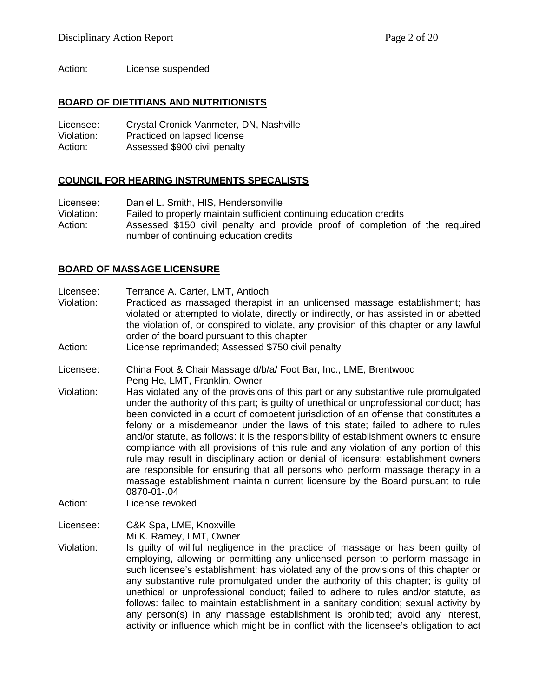Action: License suspended

#### **BOARD OF DIETITIANS AND NUTRITIONISTS**

Licensee: Crystal Cronick Vanmeter, DN, Nashville Violation: Practiced on lapsed license Action: Assessed \$900 civil penalty

#### **COUNCIL FOR HEARING INSTRUMENTS SPECALISTS**

Licensee: Daniel L. Smith, HIS, Hendersonville Violation: Failed to properly maintain sufficient continuing education credits Action: Assessed \$150 civil penalty and provide proof of completion of the required number of continuing education credits

#### **BOARD OF MASSAGE LICENSURE**

Licensee: Terrance A. Carter, LMT, Antioch

Violation: Practiced as massaged therapist in an unlicensed massage establishment; has violated or attempted to violate, directly or indirectly, or has assisted in or abetted the violation of, or conspired to violate, any provision of this chapter or any lawful order of the board pursuant to this chapter

Action: License reprimanded; Assessed \$750 civil penalty

Licensee: China Foot & Chair Massage d/b/a/ Foot Bar, Inc., LME, Brentwood Peng He, LMT, Franklin, Owner

Violation: Has violated any of the provisions of this part or any substantive rule promulgated under the authority of this part; is guilty of unethical or unprofessional conduct; has been convicted in a court of competent jurisdiction of an offense that constitutes a felony or a misdemeanor under the laws of this state; failed to adhere to rules and/or statute, as follows: it is the responsibility of establishment owners to ensure compliance with all provisions of this rule and any violation of any portion of this rule may result in disciplinary action or denial of licensure; establishment owners are responsible for ensuring that all persons who perform massage therapy in a massage establishment maintain current licensure by the Board pursuant to rule 0870-01-.04

Action: License revoked

Licensee: C&K Spa, LME, Knoxville

Mi K. Ramey, LMT, Owner

Violation: Is guilty of willful negligence in the practice of massage or has been guilty of employing, allowing or permitting any unlicensed person to perform massage in such licensee's establishment; has violated any of the provisions of this chapter or any substantive rule promulgated under the authority of this chapter; is guilty of unethical or unprofessional conduct; failed to adhere to rules and/or statute, as follows: failed to maintain establishment in a sanitary condition; sexual activity by any person(s) in any massage establishment is prohibited; avoid any interest, activity or influence which might be in conflict with the licensee's obligation to act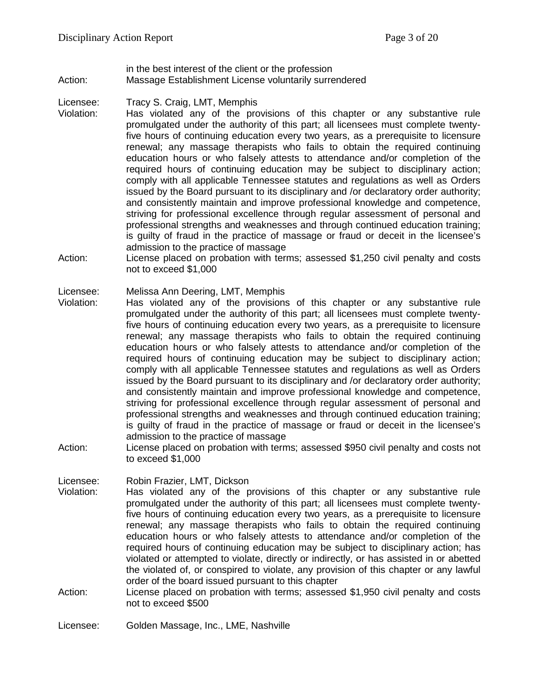#### in the best interest of the client or the profession Action: Massage Establishment License voluntarily surrendered

Licensee: Tracy S. Craig, LMT, Memphis<br>Violation: Has violated any of the pro

- Has violated any of the provisions of this chapter or any substantive rule promulgated under the authority of this part; all licensees must complete twentyfive hours of continuing education every two years, as a prerequisite to licensure renewal; any massage therapists who fails to obtain the required continuing education hours or who falsely attests to attendance and/or completion of the required hours of continuing education may be subject to disciplinary action; comply with all applicable Tennessee statutes and regulations as well as Orders issued by the Board pursuant to its disciplinary and /or declaratory order authority; and consistently maintain and improve professional knowledge and competence, striving for professional excellence through regular assessment of personal and professional strengths and weaknesses and through continued education training; is guilty of fraud in the practice of massage or fraud or deceit in the licensee's admission to the practice of massage
- Action: License placed on probation with terms; assessed \$1,250 civil penalty and costs not to exceed \$1,000

#### Licensee: Melissa Ann Deering, LMT, Memphis

- Violation: Has violated any of the provisions of this chapter or any substantive rule promulgated under the authority of this part; all licensees must complete twentyfive hours of continuing education every two years, as a prerequisite to licensure renewal; any massage therapists who fails to obtain the required continuing education hours or who falsely attests to attendance and/or completion of the required hours of continuing education may be subject to disciplinary action; comply with all applicable Tennessee statutes and regulations as well as Orders issued by the Board pursuant to its disciplinary and /or declaratory order authority; and consistently maintain and improve professional knowledge and competence, striving for professional excellence through regular assessment of personal and professional strengths and weaknesses and through continued education training; is guilty of fraud in the practice of massage or fraud or deceit in the licensee's admission to the practice of massage
- Action: License placed on probation with terms; assessed \$950 civil penalty and costs not to exceed \$1,000

Licensee: Robin Frazier, LMT, Dickson<br>Violation: Has violated any of the p

- Has violated any of the provisions of this chapter or any substantive rule promulgated under the authority of this part; all licensees must complete twentyfive hours of continuing education every two years, as a prerequisite to licensure renewal; any massage therapists who fails to obtain the required continuing education hours or who falsely attests to attendance and/or completion of the required hours of continuing education may be subject to disciplinary action; has violated or attempted to violate, directly or indirectly, or has assisted in or abetted the violated of, or conspired to violate, any provision of this chapter or any lawful order of the board issued pursuant to this chapter
- Action: License placed on probation with terms; assessed \$1,950 civil penalty and costs not to exceed \$500

Licensee: Golden Massage, Inc., LME, Nashville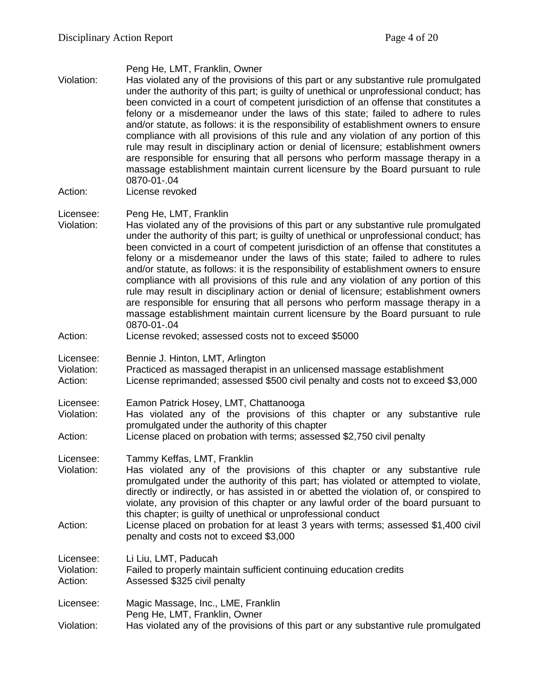| Violation:<br>Action:              | Peng He, LMT, Franklin, Owner<br>Has violated any of the provisions of this part or any substantive rule promulgated<br>under the authority of this part; is guilty of unethical or unprofessional conduct; has<br>been convicted in a court of competent jurisdiction of an offense that constitutes a<br>felony or a misdemeanor under the laws of this state; failed to adhere to rules<br>and/or statute, as follows: it is the responsibility of establishment owners to ensure<br>compliance with all provisions of this rule and any violation of any portion of this<br>rule may result in disciplinary action or denial of licensure; establishment owners<br>are responsible for ensuring that all persons who perform massage therapy in a<br>massage establishment maintain current licensure by the Board pursuant to rule<br>0870-01-.04<br>License revoked |
|------------------------------------|---------------------------------------------------------------------------------------------------------------------------------------------------------------------------------------------------------------------------------------------------------------------------------------------------------------------------------------------------------------------------------------------------------------------------------------------------------------------------------------------------------------------------------------------------------------------------------------------------------------------------------------------------------------------------------------------------------------------------------------------------------------------------------------------------------------------------------------------------------------------------|
|                                    |                                                                                                                                                                                                                                                                                                                                                                                                                                                                                                                                                                                                                                                                                                                                                                                                                                                                           |
| Licensee:<br>Violation:            | Peng He, LMT, Franklin<br>Has violated any of the provisions of this part or any substantive rule promulgated<br>under the authority of this part; is guilty of unethical or unprofessional conduct; has<br>been convicted in a court of competent jurisdiction of an offense that constitutes a<br>felony or a misdemeanor under the laws of this state; failed to adhere to rules<br>and/or statute, as follows: it is the responsibility of establishment owners to ensure<br>compliance with all provisions of this rule and any violation of any portion of this<br>rule may result in disciplinary action or denial of licensure; establishment owners<br>are responsible for ensuring that all persons who perform massage therapy in a<br>massage establishment maintain current licensure by the Board pursuant to rule<br>0870-01-.04                           |
| Action:                            | License revoked; assessed costs not to exceed \$5000                                                                                                                                                                                                                                                                                                                                                                                                                                                                                                                                                                                                                                                                                                                                                                                                                      |
| Licensee:<br>Violation:<br>Action: | Bennie J. Hinton, LMT, Arlington<br>Practiced as massaged therapist in an unlicensed massage establishment<br>License reprimanded; assessed \$500 civil penalty and costs not to exceed \$3,000                                                                                                                                                                                                                                                                                                                                                                                                                                                                                                                                                                                                                                                                           |
| Licensee:<br>Violation:<br>Action: | Eamon Patrick Hosey, LMT, Chattanooga<br>Has violated any of the provisions of this chapter or any substantive rule<br>promulgated under the authority of this chapter<br>License placed on probation with terms; assessed \$2,750 civil penalty                                                                                                                                                                                                                                                                                                                                                                                                                                                                                                                                                                                                                          |
| Licensee:<br>Violation:<br>Action: | Tammy Keffas, LMT, Franklin<br>Has violated any of the provisions of this chapter or any substantive rule<br>promulgated under the authority of this part; has violated or attempted to violate,<br>directly or indirectly, or has assisted in or abetted the violation of, or conspired to<br>violate, any provision of this chapter or any lawful order of the board pursuant to<br>this chapter; is guilty of unethical or unprofessional conduct<br>License placed on probation for at least 3 years with terms; assessed \$1,400 civil<br>penalty and costs not to exceed \$3,000                                                                                                                                                                                                                                                                                    |
| Licensee:<br>Violation:<br>Action: | Li Liu, LMT, Paducah<br>Failed to properly maintain sufficient continuing education credits<br>Assessed \$325 civil penalty                                                                                                                                                                                                                                                                                                                                                                                                                                                                                                                                                                                                                                                                                                                                               |
| Licensee:<br>Violation:            | Magic Massage, Inc., LME, Franklin<br>Peng He, LMT, Franklin, Owner<br>Has violated any of the provisions of this part or any substantive rule promulgated                                                                                                                                                                                                                                                                                                                                                                                                                                                                                                                                                                                                                                                                                                                |
|                                    |                                                                                                                                                                                                                                                                                                                                                                                                                                                                                                                                                                                                                                                                                                                                                                                                                                                                           |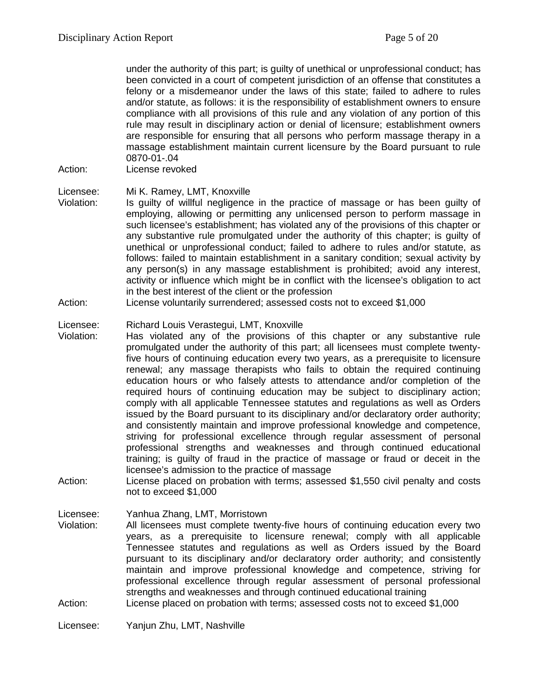under the authority of this part; is guilty of unethical or unprofessional conduct; has been convicted in a court of competent jurisdiction of an offense that constitutes a felony or a misdemeanor under the laws of this state; failed to adhere to rules and/or statute, as follows: it is the responsibility of establishment owners to ensure compliance with all provisions of this rule and any violation of any portion of this rule may result in disciplinary action or denial of licensure; establishment owners are responsible for ensuring that all persons who perform massage therapy in a massage establishment maintain current licensure by the Board pursuant to rule 0870-01-.04

Action: License revoked

Licensee: Mi K. Ramey, LMT, Knoxville

- Violation: Is guilty of willful negligence in the practice of massage or has been guilty of employing, allowing or permitting any unlicensed person to perform massage in such licensee's establishment; has violated any of the provisions of this chapter or any substantive rule promulgated under the authority of this chapter; is guilty of unethical or unprofessional conduct; failed to adhere to rules and/or statute, as follows: failed to maintain establishment in a sanitary condition; sexual activity by any person(s) in any massage establishment is prohibited; avoid any interest, activity or influence which might be in conflict with the licensee's obligation to act in the best interest of the client or the profession
- Action: License voluntarily surrendered; assessed costs not to exceed \$1,000

Licensee: Richard Louis Verastegui, LMT, Knoxville<br>Violation: Has violated any of the provisions of

- Has violated any of the provisions of this chapter or any substantive rule promulgated under the authority of this part; all licensees must complete twentyfive hours of continuing education every two years, as a prerequisite to licensure renewal; any massage therapists who fails to obtain the required continuing education hours or who falsely attests to attendance and/or completion of the required hours of continuing education may be subject to disciplinary action; comply with all applicable Tennessee statutes and regulations as well as Orders issued by the Board pursuant to its disciplinary and/or declaratory order authority; and consistently maintain and improve professional knowledge and competence, striving for professional excellence through regular assessment of personal professional strengths and weaknesses and through continued educational training; is guilty of fraud in the practice of massage or fraud or deceit in the licensee's admission to the practice of massage
- Action: License placed on probation with terms; assessed \$1,550 civil penalty and costs not to exceed \$1,000

Licensee: Yanhua Zhang, LMT, Morristown

- Violation: All licensees must complete twenty-five hours of continuing education every two years, as a prerequisite to licensure renewal; comply with all applicable Tennessee statutes and regulations as well as Orders issued by the Board pursuant to its disciplinary and/or declaratory order authority; and consistently maintain and improve professional knowledge and competence, striving for professional excellence through regular assessment of personal professional strengths and weaknesses and through continued educational training
- Action: License placed on probation with terms; assessed costs not to exceed \$1,000

Licensee: Yanjun Zhu, LMT, Nashville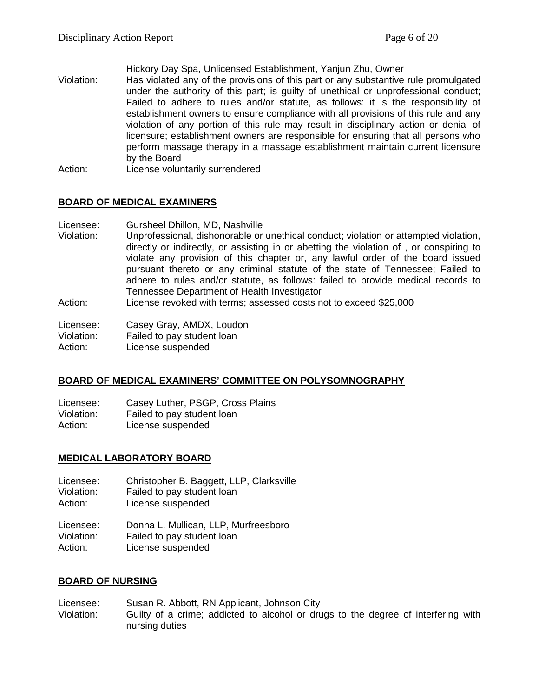Hickory Day Spa, Unlicensed Establishment, Yanjun Zhu, Owner

- Violation: Has violated any of the provisions of this part or any substantive rule promulgated under the authority of this part; is guilty of unethical or unprofessional conduct; Failed to adhere to rules and/or statute, as follows: it is the responsibility of establishment owners to ensure compliance with all provisions of this rule and any violation of any portion of this rule may result in disciplinary action or denial of licensure; establishment owners are responsible for ensuring that all persons who perform massage therapy in a massage establishment maintain current licensure by the Board
- Action: License voluntarily surrendered

#### **BOARD OF MEDICAL EXAMINERS**

Licensee: Gursheel Dhillon, MD, Nashville

- Violation: Unprofessional, dishonorable or unethical conduct; violation or attempted violation, directly or indirectly, or assisting in or abetting the violation of , or conspiring to violate any provision of this chapter or, any lawful order of the board issued pursuant thereto or any criminal statute of the state of Tennessee; Failed to adhere to rules and/or statute, as follows: failed to provide medical records to Tennessee Department of Health Investigator
- Action: License revoked with terms; assessed costs not to exceed \$25,000

Licensee: Casey Gray, AMDX, Loudon<br>Violation: Failed to pay student loan Failed to pay student loan

Action: License suspended

#### **BOARD OF MEDICAL EXAMINERS' COMMITTEE ON POLYSOMNOGRAPHY**

Licensee: Casey Luther, PSGP, Cross Plains Violation: Failed to pay student loan<br>Action: License suspended License suspended

#### **MEDICAL LABORATORY BOARD**

- Licensee: Christopher B. Baggett, LLP, Clarksville<br>Violation: Failed to pay student loan Failed to pay student loan
- Action: License suspended

Licensee: Donna L. Mullican, LLP, Murfreesboro Violation: Failed to pay student loan Action: License suspended

#### **BOARD OF NURSING**

Licensee: Susan R. Abbott, RN Applicant, Johnson City Violation: Guilty of a crime; addicted to alcohol or drugs to the degree of interfering with nursing duties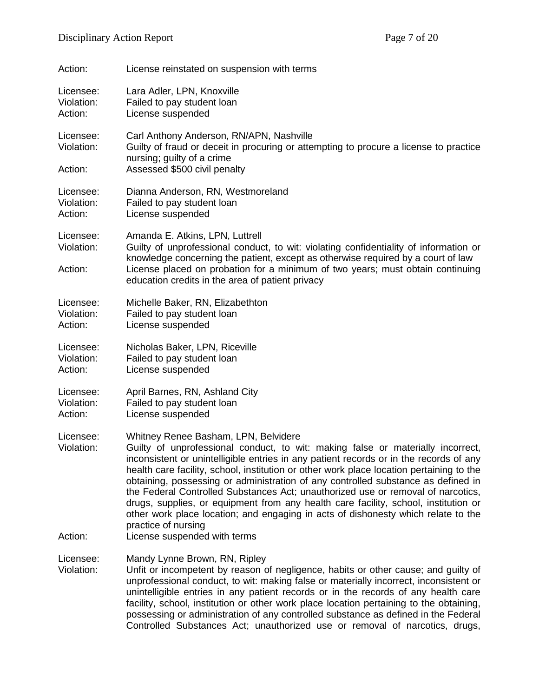| Action:                            | License reinstated on suspension with terms                                                                                                                                                                                                                                                                                                                                                                                                                                                                                                                                                                                                                                               |
|------------------------------------|-------------------------------------------------------------------------------------------------------------------------------------------------------------------------------------------------------------------------------------------------------------------------------------------------------------------------------------------------------------------------------------------------------------------------------------------------------------------------------------------------------------------------------------------------------------------------------------------------------------------------------------------------------------------------------------------|
| Licensee:<br>Violation:<br>Action: | Lara Adler, LPN, Knoxville<br>Failed to pay student loan<br>License suspended                                                                                                                                                                                                                                                                                                                                                                                                                                                                                                                                                                                                             |
| Licensee:<br>Violation:            | Carl Anthony Anderson, RN/APN, Nashville<br>Guilty of fraud or deceit in procuring or attempting to procure a license to practice<br>nursing; guilty of a crime                                                                                                                                                                                                                                                                                                                                                                                                                                                                                                                           |
| Action:                            | Assessed \$500 civil penalty                                                                                                                                                                                                                                                                                                                                                                                                                                                                                                                                                                                                                                                              |
| Licensee:<br>Violation:<br>Action: | Dianna Anderson, RN, Westmoreland<br>Failed to pay student loan<br>License suspended                                                                                                                                                                                                                                                                                                                                                                                                                                                                                                                                                                                                      |
| Licensee:<br>Violation:            | Amanda E. Atkins, LPN, Luttrell<br>Guilty of unprofessional conduct, to wit: violating confidentiality of information or<br>knowledge concerning the patient, except as otherwise required by a court of law                                                                                                                                                                                                                                                                                                                                                                                                                                                                              |
| Action:                            | License placed on probation for a minimum of two years; must obtain continuing<br>education credits in the area of patient privacy                                                                                                                                                                                                                                                                                                                                                                                                                                                                                                                                                        |
| Licensee:<br>Violation:<br>Action: | Michelle Baker, RN, Elizabethton<br>Failed to pay student loan<br>License suspended                                                                                                                                                                                                                                                                                                                                                                                                                                                                                                                                                                                                       |
| Licensee:<br>Violation:<br>Action: | Nicholas Baker, LPN, Riceville<br>Failed to pay student loan<br>License suspended                                                                                                                                                                                                                                                                                                                                                                                                                                                                                                                                                                                                         |
| Licensee:<br>Violation:<br>Action: | April Barnes, RN, Ashland City<br>Failed to pay student loan<br>License suspended                                                                                                                                                                                                                                                                                                                                                                                                                                                                                                                                                                                                         |
| Licensee:<br>Violation:            | Whitney Renee Basham, LPN, Belvidere<br>Guilty of unprofessional conduct, to wit: making false or materially incorrect,<br>inconsistent or unintelligible entries in any patient records or in the records of any<br>health care facility, school, institution or other work place location pertaining to the<br>obtaining, possessing or administration of any controlled substance as defined in<br>the Federal Controlled Substances Act; unauthorized use or removal of narcotics,<br>drugs, supplies, or equipment from any health care facility, school, institution or<br>other work place location; and engaging in acts of dishonesty which relate to the<br>practice of nursing |
| Action:                            | License suspended with terms                                                                                                                                                                                                                                                                                                                                                                                                                                                                                                                                                                                                                                                              |
| Licensee:<br>Violation:            | Mandy Lynne Brown, RN, Ripley<br>Unfit or incompetent by reason of negligence, habits or other cause; and guilty of<br>unprofessional conduct, to wit: making false or materially incorrect, inconsistent or<br>unintelligible entries in any patient records or in the records of any health care<br>facility, school, institution or other work place location pertaining to the obtaining,<br>possessing or administration of any controlled substance as defined in the Federal                                                                                                                                                                                                       |

Controlled Substances Act; unauthorized use or removal of narcotics, drugs,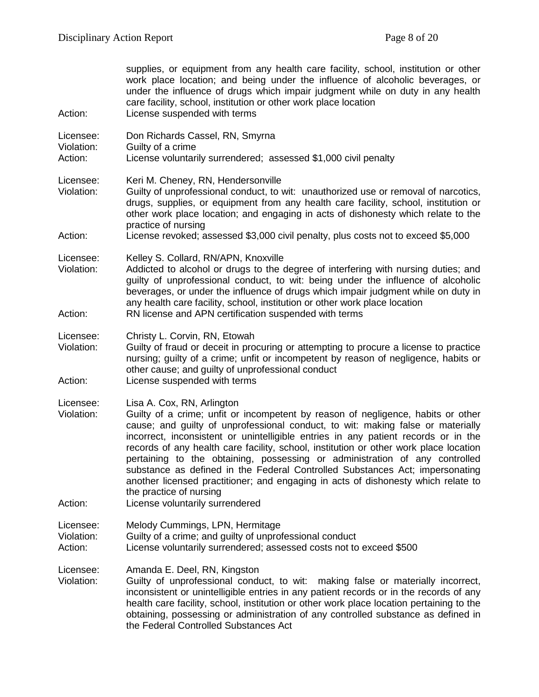| Action:                            | supplies, or equipment from any health care facility, school, institution or other<br>work place location; and being under the influence of alcoholic beverages, or<br>under the influence of drugs which impair judgment while on duty in any health<br>care facility, school, institution or other work place location<br>License suspended with terms                                                                                                                                                                                                                                                                                                                                           |
|------------------------------------|----------------------------------------------------------------------------------------------------------------------------------------------------------------------------------------------------------------------------------------------------------------------------------------------------------------------------------------------------------------------------------------------------------------------------------------------------------------------------------------------------------------------------------------------------------------------------------------------------------------------------------------------------------------------------------------------------|
| Licensee:<br>Violation:<br>Action: | Don Richards Cassel, RN, Smyrna<br>Guilty of a crime<br>License voluntarily surrendered; assessed \$1,000 civil penalty                                                                                                                                                                                                                                                                                                                                                                                                                                                                                                                                                                            |
| Licensee:<br>Violation:            | Keri M. Cheney, RN, Hendersonville<br>Guilty of unprofessional conduct, to wit: unauthorized use or removal of narcotics,<br>drugs, supplies, or equipment from any health care facility, school, institution or<br>other work place location; and engaging in acts of dishonesty which relate to the<br>practice of nursing                                                                                                                                                                                                                                                                                                                                                                       |
| Action:                            | License revoked; assessed \$3,000 civil penalty, plus costs not to exceed \$5,000                                                                                                                                                                                                                                                                                                                                                                                                                                                                                                                                                                                                                  |
| Licensee:<br>Violation:<br>Action: | Kelley S. Collard, RN/APN, Knoxville<br>Addicted to alcohol or drugs to the degree of interfering with nursing duties; and<br>guilty of unprofessional conduct, to wit: being under the influence of alcoholic<br>beverages, or under the influence of drugs which impair judgment while on duty in<br>any health care facility, school, institution or other work place location<br>RN license and APN certification suspended with terms                                                                                                                                                                                                                                                         |
|                                    |                                                                                                                                                                                                                                                                                                                                                                                                                                                                                                                                                                                                                                                                                                    |
| Licensee:<br>Violation:            | Christy L. Corvin, RN, Etowah<br>Guilty of fraud or deceit in procuring or attempting to procure a license to practice<br>nursing; guilty of a crime; unfit or incompetent by reason of negligence, habits or<br>other cause; and guilty of unprofessional conduct                                                                                                                                                                                                                                                                                                                                                                                                                                 |
| Action:                            | License suspended with terms                                                                                                                                                                                                                                                                                                                                                                                                                                                                                                                                                                                                                                                                       |
| Licensee:<br>Violation:<br>Action: | Lisa A. Cox, RN, Arlington<br>Guilty of a crime; unfit or incompetent by reason of negligence, habits or other<br>cause; and guilty of unprofessional conduct, to wit: making false or materially<br>incorrect, inconsistent or unintelligible entries in any patient records or in the<br>records of any health care facility, school, institution or other work place location<br>pertaining to the obtaining, possessing or administration of any controlled<br>substance as defined in the Federal Controlled Substances Act; impersonating<br>another licensed practitioner; and engaging in acts of dishonesty which relate to<br>the practice of nursing<br>License voluntarily surrendered |
| Licensee:<br>Violation:            | Melody Cummings, LPN, Hermitage<br>Guilty of a crime; and guilty of unprofessional conduct                                                                                                                                                                                                                                                                                                                                                                                                                                                                                                                                                                                                         |
| Action:                            | License voluntarily surrendered; assessed costs not to exceed \$500                                                                                                                                                                                                                                                                                                                                                                                                                                                                                                                                                                                                                                |
| Licensee:<br>Violation:            | Amanda E. Deel, RN, Kingston<br>Guilty of unprofessional conduct, to wit: making false or materially incorrect,<br>inconsistent or unintelligible entries in any patient records or in the records of any<br>health care facility, school, institution or other work place location pertaining to the<br>obtaining, possessing or administration of any controlled substance as defined in<br>the Federal Controlled Substances Act                                                                                                                                                                                                                                                                |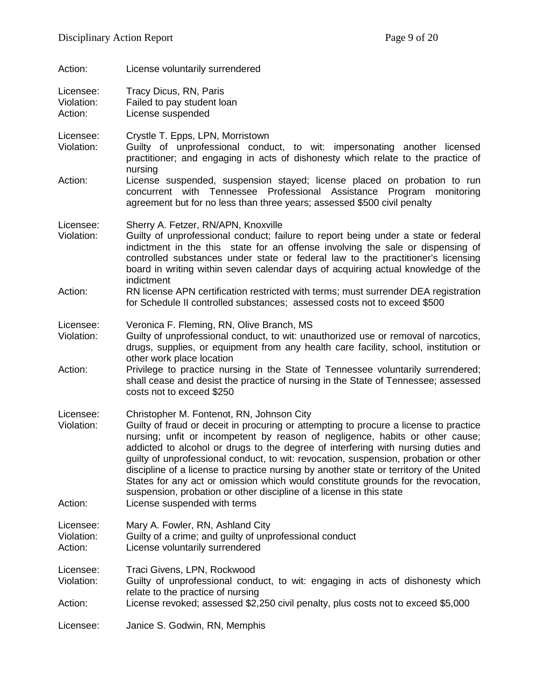| Action:                            | License voluntarily surrendered                                                                                                                                                                                                                                                                                                                                                                                                                                                                                                                                                                                                                                                          |
|------------------------------------|------------------------------------------------------------------------------------------------------------------------------------------------------------------------------------------------------------------------------------------------------------------------------------------------------------------------------------------------------------------------------------------------------------------------------------------------------------------------------------------------------------------------------------------------------------------------------------------------------------------------------------------------------------------------------------------|
| Licensee:<br>Violation:<br>Action: | Tracy Dicus, RN, Paris<br>Failed to pay student loan<br>License suspended                                                                                                                                                                                                                                                                                                                                                                                                                                                                                                                                                                                                                |
| Licensee:<br>Violation:            | Crystle T. Epps, LPN, Morristown<br>Guilty of unprofessional conduct, to wit: impersonating another licensed<br>practitioner; and engaging in acts of dishonesty which relate to the practice of<br>nursing                                                                                                                                                                                                                                                                                                                                                                                                                                                                              |
| Action:                            | License suspended, suspension stayed; license placed on probation to run<br>concurrent with Tennessee Professional Assistance Program<br>monitoring<br>agreement but for no less than three years; assessed \$500 civil penalty                                                                                                                                                                                                                                                                                                                                                                                                                                                          |
| Licensee:<br>Violation:            | Sherry A. Fetzer, RN/APN, Knoxville<br>Guilty of unprofessional conduct; failure to report being under a state or federal<br>indictment in the this state for an offense involving the sale or dispensing of<br>controlled substances under state or federal law to the practitioner's licensing<br>board in writing within seven calendar days of acquiring actual knowledge of the<br>indictment                                                                                                                                                                                                                                                                                       |
| Action:                            | RN license APN certification restricted with terms; must surrender DEA registration<br>for Schedule II controlled substances; assessed costs not to exceed \$500                                                                                                                                                                                                                                                                                                                                                                                                                                                                                                                         |
| Licensee:<br>Violation:            | Veronica F. Fleming, RN, Olive Branch, MS<br>Guilty of unprofessional conduct, to wit: unauthorized use or removal of narcotics,<br>drugs, supplies, or equipment from any health care facility, school, institution or<br>other work place location                                                                                                                                                                                                                                                                                                                                                                                                                                     |
| Action:                            | Privilege to practice nursing in the State of Tennessee voluntarily surrendered;<br>shall cease and desist the practice of nursing in the State of Tennessee; assessed<br>costs not to exceed \$250                                                                                                                                                                                                                                                                                                                                                                                                                                                                                      |
| Licensee:<br>Violation:<br>Action: | Christopher M. Fontenot, RN, Johnson City<br>Guilty of fraud or deceit in procuring or attempting to procure a license to practice<br>nursing; unfit or incompetent by reason of negligence, habits or other cause;<br>addicted to alcohol or drugs to the degree of interfering with nursing duties and<br>guilty of unprofessional conduct, to wit: revocation, suspension, probation or other<br>discipline of a license to practice nursing by another state or territory of the United<br>States for any act or omission which would constitute grounds for the revocation,<br>suspension, probation or other discipline of a license in this state<br>License suspended with terms |
| Licensee:<br>Violation:<br>Action: | Mary A. Fowler, RN, Ashland City<br>Guilty of a crime; and guilty of unprofessional conduct<br>License voluntarily surrendered                                                                                                                                                                                                                                                                                                                                                                                                                                                                                                                                                           |
| Licensee:<br>Violation:            | Traci Givens, LPN, Rockwood<br>Guilty of unprofessional conduct, to wit: engaging in acts of dishonesty which<br>relate to the practice of nursing                                                                                                                                                                                                                                                                                                                                                                                                                                                                                                                                       |
| Action:                            | License revoked; assessed \$2,250 civil penalty, plus costs not to exceed \$5,000                                                                                                                                                                                                                                                                                                                                                                                                                                                                                                                                                                                                        |
| Licensee:                          | Janice S. Godwin, RN, Memphis                                                                                                                                                                                                                                                                                                                                                                                                                                                                                                                                                                                                                                                            |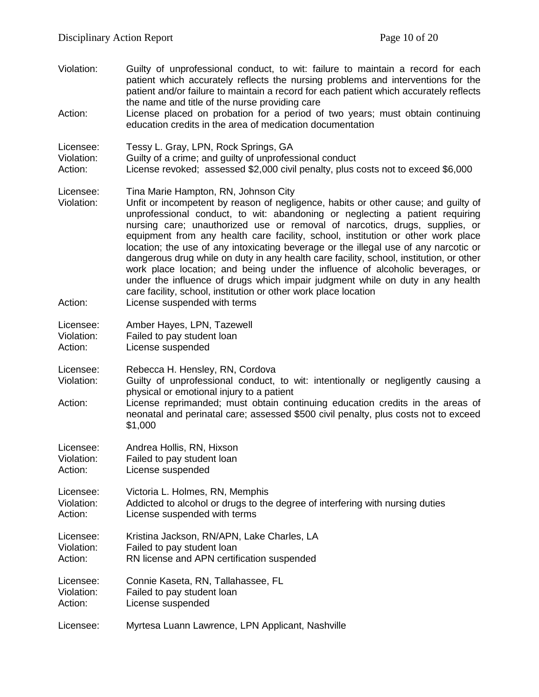Violation: Guilty of unprofessional conduct, to wit: failure to maintain a record for each patient which accurately reflects the nursing problems and interventions for the patient and/or failure to maintain a record for each patient which accurately reflects the name and title of the nurse providing care Action: License placed on probation for a period of two years; must obtain continuing education credits in the area of medication documentation Licensee: Tessy L. Gray, LPN, Rock Springs, GA<br>Violation: Guilty of a crime: and quilty of unprofesi Violation: Guilty of a crime; and guilty of unprofessional conduct<br>Action: License revoked: assessed \$2.000 civil penalty, plus of License revoked; assessed \$2,000 civil penalty, plus costs not to exceed \$6,000 Licensee: Tina Marie Hampton, RN, Johnson City Violation: Unfit or incompetent by reason of negligence, habits or other cause; and guilty of unprofessional conduct, to wit: abandoning or neglecting a patient requiring nursing care; unauthorized use or removal of narcotics, drugs, supplies, or equipment from any health care facility, school, institution or other work place location; the use of any intoxicating beverage or the illegal use of any narcotic or dangerous drug while on duty in any health care facility, school, institution, or other work place location; and being under the influence of alcoholic beverages, or under the influence of drugs which impair judgment while on duty in any health care facility, school, institution or other work place location Action: License suspended with terms Licensee: Amber Hayes, LPN, Tazewell<br>Violation: Failed to pay student loan Failed to pay student loan Action: License suspended Licensee: Rebecca H. Hensley, RN, Cordova Violation: Guilty of unprofessional conduct, to wit: intentionally or negligently causing a physical or emotional injury to a patient Action: License reprimanded; must obtain continuing education credits in the areas of neonatal and perinatal care; assessed \$500 civil penalty, plus costs not to exceed \$1,000 Licensee: Andrea Hollis, RN, Hixson Violation: Failed to pay student loan Action: License suspended Licensee: Victoria L. Holmes, RN, Memphis Violation: Addicted to alcohol or drugs to the degree of interfering with nursing duties Action: License suspended with terms Licensee: Kristina Jackson, RN/APN, Lake Charles, LA Violation: Failed to pay student loan Action: RN license and APN certification suspended Licensee: Connie Kaseta, RN, Tallahassee, FL<br>Violation: Failed to pay student loan Failed to pay student loan Action: License suspended Licensee: Myrtesa Luann Lawrence, LPN Applicant, Nashville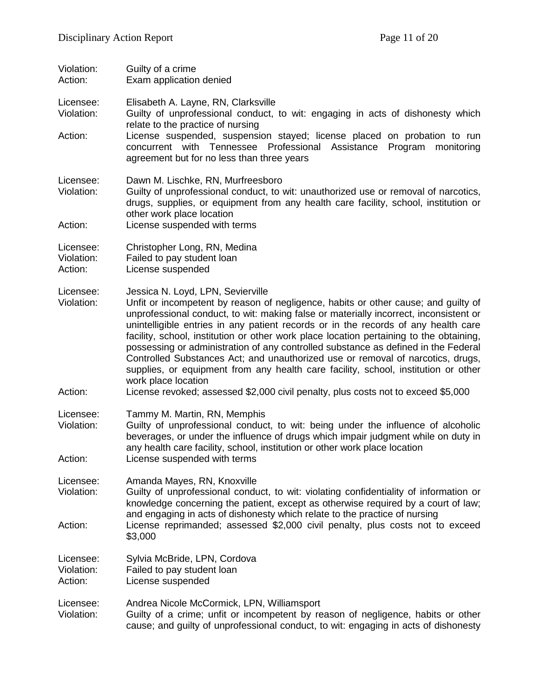Violation: Guilty of a crime<br>Action: Fxam application Exam application denied

Licensee: Elisabeth A. Layne, RN, Clarksville

- Violation: Guilty of unprofessional conduct, to wit: engaging in acts of dishonesty which relate to the practice of nursing
- Action: License suspended, suspension stayed; license placed on probation to run concurrent with Tennessee Professional Assistance Program monitoring agreement but for no less than three years

Licensee: Dawn M. Lischke, RN, Murfreesboro

Violation: Guilty of unprofessional conduct, to wit: unauthorized use or removal of narcotics, drugs, supplies, or equipment from any health care facility, school, institution or other work place location

Action: License suspended with terms

Licensee: Christopher Long, RN, Medina

- Violation: Failed to pay student loan
- Action: License suspended
- Licensee: Jessica N. Loyd, LPN, Sevierville
- Violation: Unfit or incompetent by reason of negligence, habits or other cause; and guilty of unprofessional conduct, to wit: making false or materially incorrect, inconsistent or unintelligible entries in any patient records or in the records of any health care facility, school, institution or other work place location pertaining to the obtaining, possessing or administration of any controlled substance as defined in the Federal Controlled Substances Act; and unauthorized use or removal of narcotics, drugs, supplies, or equipment from any health care facility, school, institution or other work place location
- Action: License revoked; assessed \$2,000 civil penalty, plus costs not to exceed \$5,000
- Licensee: Tammy M. Martin, RN, Memphis
- Violation: Guilty of unprofessional conduct, to wit: being under the influence of alcoholic beverages, or under the influence of drugs which impair judgment while on duty in any health care facility, school, institution or other work place location Action: License suspended with terms
- Licensee: Amanda Mayes, RN, Knoxville<br>Violation: Guilty of unprofessional condu
- Guilty of unprofessional conduct, to wit: violating confidentiality of information or knowledge concerning the patient, except as otherwise required by a court of law; and engaging in acts of dishonesty which relate to the practice of nursing Action: License reprimanded; assessed \$2,000 civil penalty, plus costs not to exceed \$3,000
- Licensee: Sylvia McBride, LPN, Cordova Violation: Failed to pay student loan<br>Action: License suspended
- License suspended

Licensee: Andrea Nicole McCormick, LPN, Williamsport Violation: Guilty of a crime; unfit or incompetent by reason of negligence, habits or other cause; and guilty of unprofessional conduct, to wit: engaging in acts of dishonesty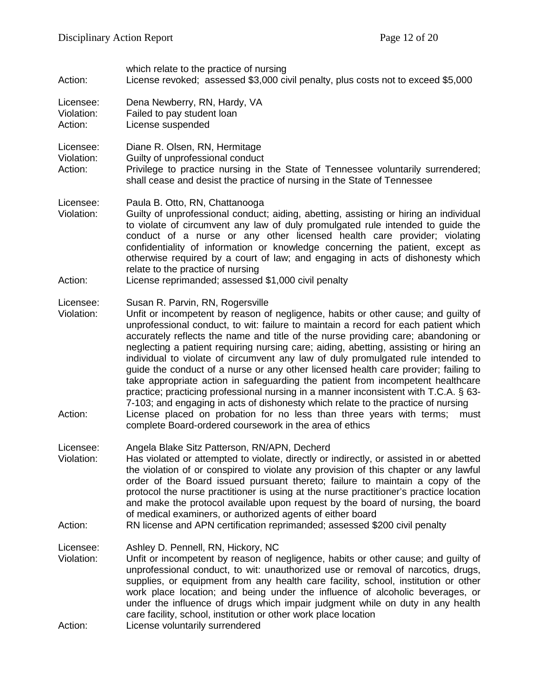| Privilege to practice nursing in the State of Tennessee voluntarily surrendered;                                                                                                                                                                                                                                                                                                                                                                                                                                                                                                                                                                                                                                                                                                                           |
|------------------------------------------------------------------------------------------------------------------------------------------------------------------------------------------------------------------------------------------------------------------------------------------------------------------------------------------------------------------------------------------------------------------------------------------------------------------------------------------------------------------------------------------------------------------------------------------------------------------------------------------------------------------------------------------------------------------------------------------------------------------------------------------------------------|
| Guilty of unprofessional conduct; aiding, abetting, assisting or hiring an individual<br>to violate of circumvent any law of duly promulgated rule intended to guide the<br>conduct of a nurse or any other licensed health care provider; violating<br>confidentiality of information or knowledge concerning the patient, except as<br>otherwise required by a court of law; and engaging in acts of dishonesty which                                                                                                                                                                                                                                                                                                                                                                                    |
| Unfit or incompetent by reason of negligence, habits or other cause; and guilty of<br>unprofessional conduct, to wit: failure to maintain a record for each patient which<br>accurately reflects the name and title of the nurse providing care; abandoning or<br>neglecting a patient requiring nursing care; aiding, abetting, assisting or hiring an<br>individual to violate of circumvent any law of duly promulgated rule intended to<br>guide the conduct of a nurse or any other licensed health care provider; failing to<br>take appropriate action in safeguarding the patient from incompetent healthcare<br>practice; practicing professional nursing in a manner inconsistent with T.C.A. § 63-<br>7-103; and engaging in acts of dishonesty which relate to the practice of nursing<br>must |
| Has violated or attempted to violate, directly or indirectly, or assisted in or abetted<br>the violation of or conspired to violate any provision of this chapter or any lawful<br>order of the Board issued pursuant thereto; failure to maintain a copy of the<br>protocol the nurse practitioner is using at the nurse practitioner's practice location<br>and make the protocol available upon request by the board of nursing, the board                                                                                                                                                                                                                                                                                                                                                              |
|                                                                                                                                                                                                                                                                                                                                                                                                                                                                                                                                                                                                                                                                                                                                                                                                            |
| Unfit or incompetent by reason of negligence, habits or other cause; and guilty of<br>unprofessional conduct, to wit: unauthorized use or removal of narcotics, drugs,<br>supplies, or equipment from any health care facility, school, institution or other<br>work place location; and being under the influence of alcoholic beverages, or<br>under the influence of drugs which impair judgment while on duty in any health                                                                                                                                                                                                                                                                                                                                                                            |
| License placed on probation for no less than three years with terms;                                                                                                                                                                                                                                                                                                                                                                                                                                                                                                                                                                                                                                                                                                                                       |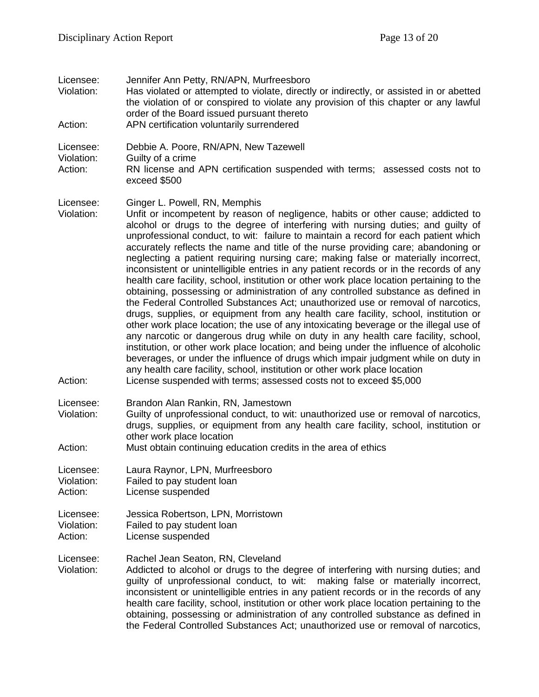| Licensee:<br>Violation:<br>Action: | Jennifer Ann Petty, RN/APN, Murfreesboro<br>Has violated or attempted to violate, directly or indirectly, or assisted in or abetted<br>the violation of or conspired to violate any provision of this chapter or any lawful<br>order of the Board issued pursuant thereto<br>APN certification voluntarily surrendered                                                                                                                                                                                                                                                                                                                                                                                                                                                                                                                                                                                                                                                                                                                                                                                                                                                                                                                                                                                                                                                  |
|------------------------------------|-------------------------------------------------------------------------------------------------------------------------------------------------------------------------------------------------------------------------------------------------------------------------------------------------------------------------------------------------------------------------------------------------------------------------------------------------------------------------------------------------------------------------------------------------------------------------------------------------------------------------------------------------------------------------------------------------------------------------------------------------------------------------------------------------------------------------------------------------------------------------------------------------------------------------------------------------------------------------------------------------------------------------------------------------------------------------------------------------------------------------------------------------------------------------------------------------------------------------------------------------------------------------------------------------------------------------------------------------------------------------|
| Licensee:<br>Violation:<br>Action: | Debbie A. Poore, RN/APN, New Tazewell<br>Guilty of a crime<br>RN license and APN certification suspended with terms; assessed costs not to<br>exceed \$500                                                                                                                                                                                                                                                                                                                                                                                                                                                                                                                                                                                                                                                                                                                                                                                                                                                                                                                                                                                                                                                                                                                                                                                                              |
| Licensee:<br>Violation:            | Ginger L. Powell, RN, Memphis<br>Unfit or incompetent by reason of negligence, habits or other cause; addicted to<br>alcohol or drugs to the degree of interfering with nursing duties; and guilty of<br>unprofessional conduct, to wit: failure to maintain a record for each patient which<br>accurately reflects the name and title of the nurse providing care; abandoning or<br>neglecting a patient requiring nursing care; making false or materially incorrect,<br>inconsistent or unintelligible entries in any patient records or in the records of any<br>health care facility, school, institution or other work place location pertaining to the<br>obtaining, possessing or administration of any controlled substance as defined in<br>the Federal Controlled Substances Act; unauthorized use or removal of narcotics,<br>drugs, supplies, or equipment from any health care facility, school, institution or<br>other work place location; the use of any intoxicating beverage or the illegal use of<br>any narcotic or dangerous drug while on duty in any health care facility, school,<br>institution, or other work place location; and being under the influence of alcoholic<br>beverages, or under the influence of drugs which impair judgment while on duty in<br>any health care facility, school, institution or other work place location |
| Action:                            | License suspended with terms; assessed costs not to exceed \$5,000                                                                                                                                                                                                                                                                                                                                                                                                                                                                                                                                                                                                                                                                                                                                                                                                                                                                                                                                                                                                                                                                                                                                                                                                                                                                                                      |
| Licensee:<br>Violation:<br>Action: | Brandon Alan Rankin, RN, Jamestown<br>Guilty of unprofessional conduct, to wit: unauthorized use or removal of narcotics,<br>drugs, supplies, or equipment from any health care facility, school, institution or<br>other work place location<br>Must obtain continuing education credits in the area of ethics                                                                                                                                                                                                                                                                                                                                                                                                                                                                                                                                                                                                                                                                                                                                                                                                                                                                                                                                                                                                                                                         |
| Licensee:<br>Violation:<br>Action: | Laura Raynor, LPN, Murfreesboro<br>Failed to pay student loan<br>License suspended                                                                                                                                                                                                                                                                                                                                                                                                                                                                                                                                                                                                                                                                                                                                                                                                                                                                                                                                                                                                                                                                                                                                                                                                                                                                                      |
| Licensee:<br>Violation:<br>Action: | Jessica Robertson, LPN, Morristown<br>Failed to pay student loan<br>License suspended                                                                                                                                                                                                                                                                                                                                                                                                                                                                                                                                                                                                                                                                                                                                                                                                                                                                                                                                                                                                                                                                                                                                                                                                                                                                                   |
| Licensee:<br>Violation:            | Rachel Jean Seaton, RN, Cleveland<br>Addicted to alcohol or drugs to the degree of interfering with nursing duties; and<br>guilty of unprofessional conduct, to wit: making false or materially incorrect,<br>inconsistent or unintelligible entries in any patient records or in the records of any<br>health care facility, school, institution or other work place location pertaining to the<br>obtaining, possessing or administration of any controlled substance as defined in<br>the Federal Controlled Substances Act; unauthorized use or removal of narcotics,                                                                                                                                                                                                                                                                                                                                                                                                                                                                                                                                                                                                                                                                                                                                                                                               |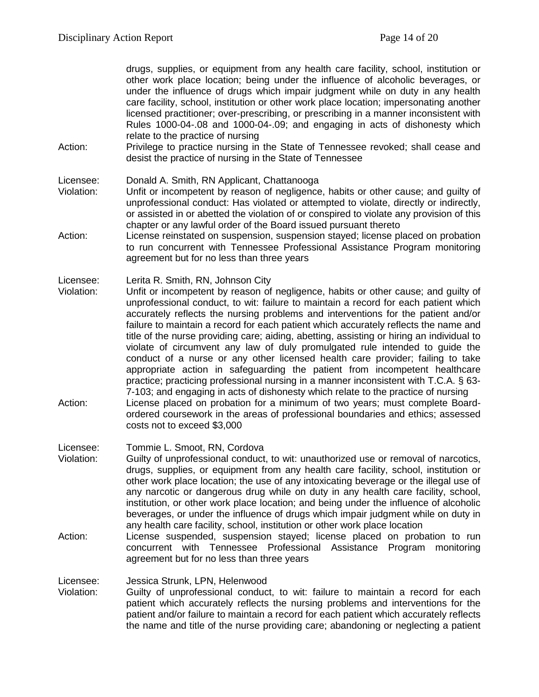drugs, supplies, or equipment from any health care facility, school, institution or other work place location; being under the influence of alcoholic beverages, or under the influence of drugs which impair judgment while on duty in any health care facility, school, institution or other work place location; impersonating another licensed practitioner; over-prescribing, or prescribing in a manner inconsistent with Rules 1000-04-.08 and 1000-04-.09; and engaging in acts of dishonesty which relate to the practice of nursing

Action: Privilege to practice nursing in the State of Tennessee revoked; shall cease and desist the practice of nursing in the State of Tennessee

Licensee: Donald A. Smith, RN Applicant, Chattanooga

- Violation: Unfit or incompetent by reason of negligence, habits or other cause; and guilty of unprofessional conduct: Has violated or attempted to violate, directly or indirectly, or assisted in or abetted the violation of or conspired to violate any provision of this chapter or any lawful order of the Board issued pursuant thereto
- Action: License reinstated on suspension, suspension stayed; license placed on probation to run concurrent with Tennessee Professional Assistance Program monitoring agreement but for no less than three years

Licensee: Lerita R. Smith, RN, Johnson City

- Violation: Unfit or incompetent by reason of negligence, habits or other cause; and guilty of unprofessional conduct, to wit: failure to maintain a record for each patient which accurately reflects the nursing problems and interventions for the patient and/or failure to maintain a record for each patient which accurately reflects the name and title of the nurse providing care; aiding, abetting, assisting or hiring an individual to violate of circumvent any law of duly promulgated rule intended to guide the conduct of a nurse or any other licensed health care provider; failing to take appropriate action in safeguarding the patient from incompetent healthcare practice; practicing professional nursing in a manner inconsistent with T.C.A. § 63- 7-103; and engaging in acts of dishonesty which relate to the practice of nursing Action: License placed on probation for a minimum of two years; must complete Board-
- ordered coursework in the areas of professional boundaries and ethics; assessed costs not to exceed \$3,000
- Licensee: Tommie L. Smoot, RN, Cordova
- Violation: Guilty of unprofessional conduct, to wit: unauthorized use or removal of narcotics, drugs, supplies, or equipment from any health care facility, school, institution or other work place location; the use of any intoxicating beverage or the illegal use of any narcotic or dangerous drug while on duty in any health care facility, school, institution, or other work place location; and being under the influence of alcoholic beverages, or under the influence of drugs which impair judgment while on duty in any health care facility, school, institution or other work place location
- Action: License suspended, suspension stayed; license placed on probation to run concurrent with Tennessee Professional Assistance Program monitoring agreement but for no less than three years

Licensee: Jessica Strunk, LPN, Helenwood<br>Violation: Guilty of unprofessional conduc

Guilty of unprofessional conduct, to wit: failure to maintain a record for each patient which accurately reflects the nursing problems and interventions for the patient and/or failure to maintain a record for each patient which accurately reflects the name and title of the nurse providing care; abandoning or neglecting a patient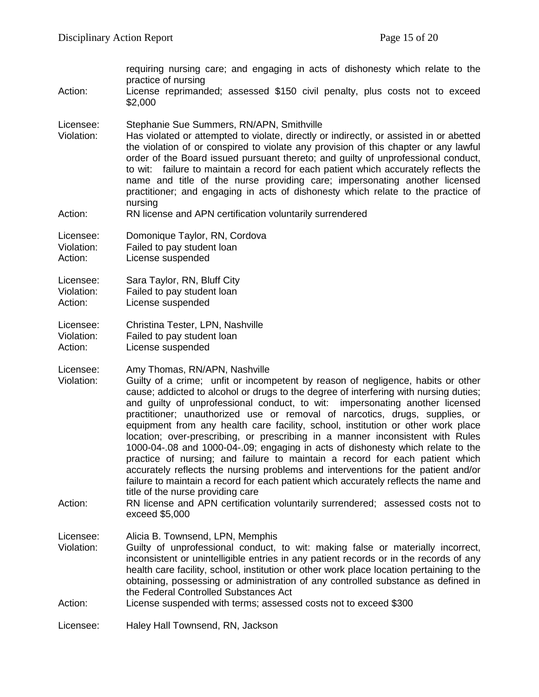requiring nursing care; and engaging in acts of dishonesty which relate to the practice of nursing Action: License reprimanded; assessed \$150 civil penalty, plus costs not to exceed \$2,000 Licensee: Stephanie Sue Summers, RN/APN, Smithville Violation: Has violated or attempted to violate, directly or indirectly, or assisted in or abetted the violation of or conspired to violate any provision of this chapter or any lawful order of the Board issued pursuant thereto; and guilty of unprofessional conduct, to wit: failure to maintain a record for each patient which accurately reflects the name and title of the nurse providing care; impersonating another licensed practitioner; and engaging in acts of dishonesty which relate to the practice of nursing Action: RN license and APN certification voluntarily surrendered Licensee: Domonique Taylor, RN, Cordova Violation: Failed to pay student loan Action: License suspended Licensee: Sara Taylor, RN, Bluff City Violation: Failed to pay student loan Action: License suspended Licensee: Christina Tester, LPN, Nashville<br>Violation: Failed to pay student loan Failed to pay student loan Action: License suspended Licensee: Amy Thomas, RN/APN, Nashville Violation: Guilty of a crime; unfit or incompetent by reason of negligence, habits or other cause; addicted to alcohol or drugs to the degree of interfering with nursing duties; and guilty of unprofessional conduct, to wit: impersonating another licensed practitioner; unauthorized use or removal of narcotics, drugs, supplies, or equipment from any health care facility, school, institution or other work place location; over-prescribing, or prescribing in a manner inconsistent with Rules 1000-04-.08 and 1000-04-.09; engaging in acts of dishonesty which relate to the practice of nursing; and failure to maintain a record for each patient which accurately reflects the nursing problems and interventions for the patient and/or failure to maintain a record for each patient which accurately reflects the name and title of the nurse providing care Action: RN license and APN certification voluntarily surrendered; assessed costs not to exceed \$5,000 Licensee: Alicia B. Townsend, LPN, Memphis Violation: Guilty of unprofessional conduct, to wit: making false or materially incorrect, inconsistent or unintelligible entries in any patient records or in the records of any health care facility, school, institution or other work place location pertaining to the obtaining, possessing or administration of any controlled substance as defined in the Federal Controlled Substances Act

Action: License suspended with terms; assessed costs not to exceed \$300

Licensee: Haley Hall Townsend, RN, Jackson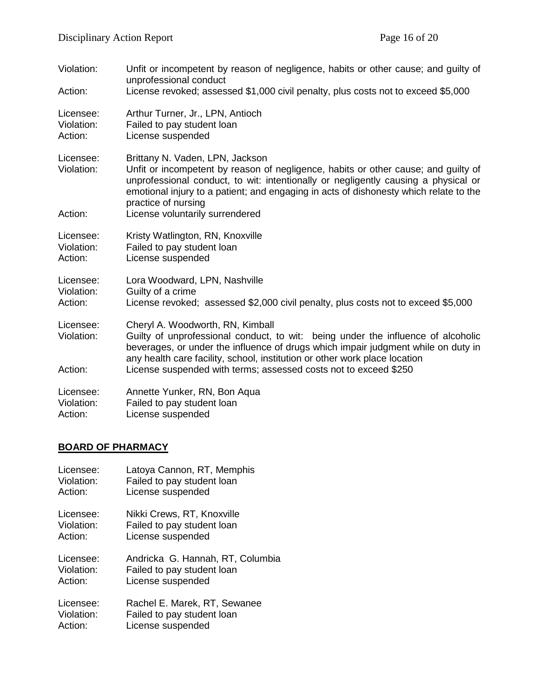| Violation:<br>Action:              | Unfit or incompetent by reason of negligence, habits or other cause; and guilty of<br>unprofessional conduct<br>License revoked; assessed \$1,000 civil penalty, plus costs not to exceed \$5,000                                                                                                                                                              |
|------------------------------------|----------------------------------------------------------------------------------------------------------------------------------------------------------------------------------------------------------------------------------------------------------------------------------------------------------------------------------------------------------------|
| Licensee:                          | Arthur Turner, Jr., LPN, Antioch                                                                                                                                                                                                                                                                                                                               |
| Violation:                         | Failed to pay student loan                                                                                                                                                                                                                                                                                                                                     |
| Action:                            | License suspended                                                                                                                                                                                                                                                                                                                                              |
| Licensee:<br>Violation:<br>Action: | Brittany N. Vaden, LPN, Jackson<br>Unfit or incompetent by reason of negligence, habits or other cause; and guilty of<br>unprofessional conduct, to wit: intentionally or negligently causing a physical or<br>emotional injury to a patient; and engaging in acts of dishonesty which relate to the<br>practice of nursing<br>License voluntarily surrendered |
| Licensee:                          | Kristy Watlington, RN, Knoxville                                                                                                                                                                                                                                                                                                                               |
| Violation:                         | Failed to pay student loan                                                                                                                                                                                                                                                                                                                                     |
| Action:                            | License suspended                                                                                                                                                                                                                                                                                                                                              |
| Licensee:                          | Lora Woodward, LPN, Nashville                                                                                                                                                                                                                                                                                                                                  |
| Violation:                         | Guilty of a crime                                                                                                                                                                                                                                                                                                                                              |
| Action:                            | License revoked; assessed \$2,000 civil penalty, plus costs not to exceed \$5,000                                                                                                                                                                                                                                                                              |
| Licensee:<br>Violation:<br>Action: | Cheryl A. Woodworth, RN, Kimball<br>Guilty of unprofessional conduct, to wit: being under the influence of alcoholic<br>beverages, or under the influence of drugs which impair judgment while on duty in<br>any health care facility, school, institution or other work place location<br>License suspended with terms; assessed costs not to exceed \$250    |
| Licensee:                          | Annette Yunker, RN, Bon Aqua                                                                                                                                                                                                                                                                                                                                   |
| Violation:                         | Failed to pay student loan                                                                                                                                                                                                                                                                                                                                     |
| Action:                            | License suspended                                                                                                                                                                                                                                                                                                                                              |

# **BOARD OF PHARMACY**

| Latoya Cannon, RT, Memphis<br>Failed to pay student loan<br>License suspended       |
|-------------------------------------------------------------------------------------|
| Nikki Crews, RT, Knoxville<br>Failed to pay student loan<br>License suspended       |
| Andricka G. Hannah, RT, Columbia<br>Failed to pay student loan<br>License suspended |
| Rachel E. Marek, RT, Sewanee<br>Failed to pay student loan<br>License suspended     |
|                                                                                     |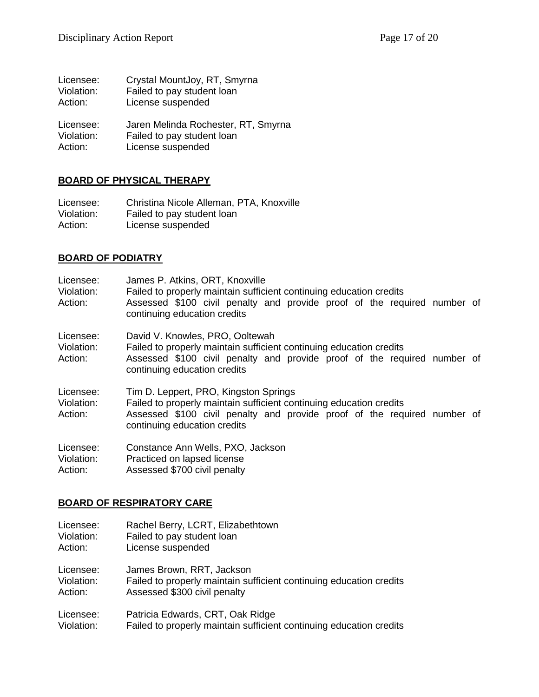| Licensee:  | Crystal MountJoy, RT, Smyrna        |
|------------|-------------------------------------|
| Violation: | Failed to pay student loan          |
| Action:    | License suspended                   |
| Licensee:  | Jaren Melinda Rochester, RT, Smyrna |
| Violation: | Failed to pay student loan          |
| Action:    | License suspended                   |

#### **BOARD OF PHYSICAL THERAPY**

Licensee: Christina Nicole Alleman, PTA, Knoxville Violation: Failed to pay student loan Violation: Failed to pay student loan<br>Action: License suspended License suspended

## **BOARD OF PODIATRY**

| Licensee:<br>Violation:<br>Action: | James P. Atkins, ORT, Knoxville<br>Failed to properly maintain sufficient continuing education credits<br>Assessed \$100 civil penalty and provide proof of the required number of<br>continuing education credits       |  |
|------------------------------------|--------------------------------------------------------------------------------------------------------------------------------------------------------------------------------------------------------------------------|--|
| Licensee:<br>Violation:<br>Action: | David V. Knowles, PRO, Ooltewah<br>Failed to properly maintain sufficient continuing education credits<br>Assessed \$100 civil penalty and provide proof of the required number of<br>continuing education credits       |  |
| Licensee:<br>Violation:<br>Action: | Tim D. Leppert, PRO, Kingston Springs<br>Failed to properly maintain sufficient continuing education credits<br>Assessed \$100 civil penalty and provide proof of the required number of<br>continuing education credits |  |
| Licensee:<br>Violation:<br>Action: | Constance Ann Wells, PXO, Jackson<br>Practiced on lapsed license<br>Assessed \$700 civil penalty                                                                                                                         |  |

#### **BOARD OF RESPIRATORY CARE**

| Licensee:  | Rachel Berry, LCRT, Elizabethtown                                   |
|------------|---------------------------------------------------------------------|
| Violation: | Failed to pay student loan                                          |
| Action:    | License suspended                                                   |
| Licensee:  | James Brown, RRT, Jackson                                           |
| Violation: | Failed to properly maintain sufficient continuing education credits |
| Action:    | Assessed \$300 civil penalty                                        |
| Licensee:  | Patricia Edwards, CRT, Oak Ridge                                    |
| Violation: | Failed to properly maintain sufficient continuing education credits |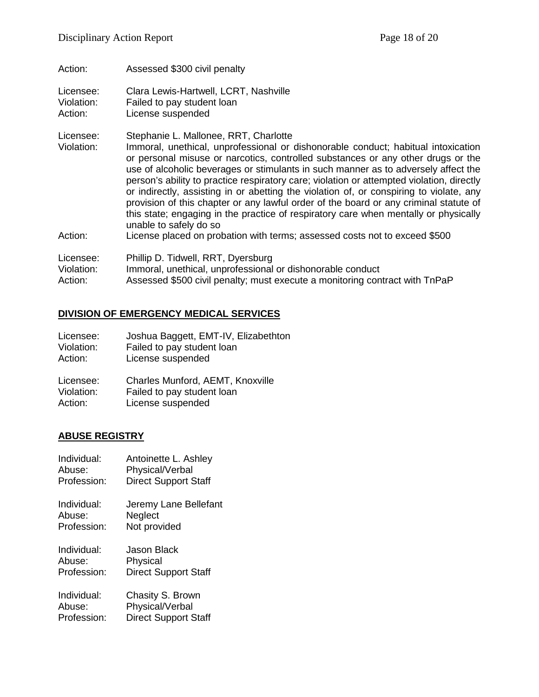Action: Assessed \$300 civil penalty Licensee: Clara Lewis-Hartwell, LCRT, Nashville Violation: Failed to pay student loan Action: License suspended Licensee: Stephanie L. Mallonee, RRT, Charlotte Violation: Immoral, unethical, unprofessional or dishonorable conduct; habitual intoxication or personal misuse or narcotics, controlled substances or any other drugs or the use of alcoholic beverages or stimulants in such manner as to adversely affect the person's ability to practice respiratory care; violation or attempted violation, directly or indirectly, assisting in or abetting the violation of, or conspiring to violate, any provision of this chapter or any lawful order of the board or any criminal statute of this state; engaging in the practice of respiratory care when mentally or physically unable to safely do so Action: License placed on probation with terms; assessed costs not to exceed \$500 Licensee: Phillip D. Tidwell, RRT, Dyersburg Violation: Immoral, unethical, unprofessional or dishonorable conduct Action: Assessed \$500 civil penalty; must execute a monitoring contract with TnPaP

#### **DIVISION OF EMERGENCY MEDICAL SERVICES**

| Licensee:  | Joshua Baggett, EMT-IV, Elizabethton |
|------------|--------------------------------------|
| Violation: | Failed to pay student loan           |
| Action:    | License suspended                    |
| Licensee:  | Charles Munford, AEMT, Knoxville     |
| Violation: | Failed to pay student loan           |
| Action:    | License suspended                    |

#### **ABUSE REGISTRY**

| Individual: | Antoinette L. Ashley        |
|-------------|-----------------------------|
| Abuse:      | Physical/Verbal             |
| Profession: | <b>Direct Support Staff</b> |
| Individual: | Jeremy Lane Bellefant       |
| Abuse:      | Neglect                     |
| Profession: | Not provided                |
| Individual: | Jason Black                 |
| Abuse:      | Physical                    |
| Profession: | <b>Direct Support Staff</b> |
| Individual: | Chasity S. Brown            |
| Abuse:      | Physical/Verbal             |
| Profession: | <b>Direct Support Staff</b> |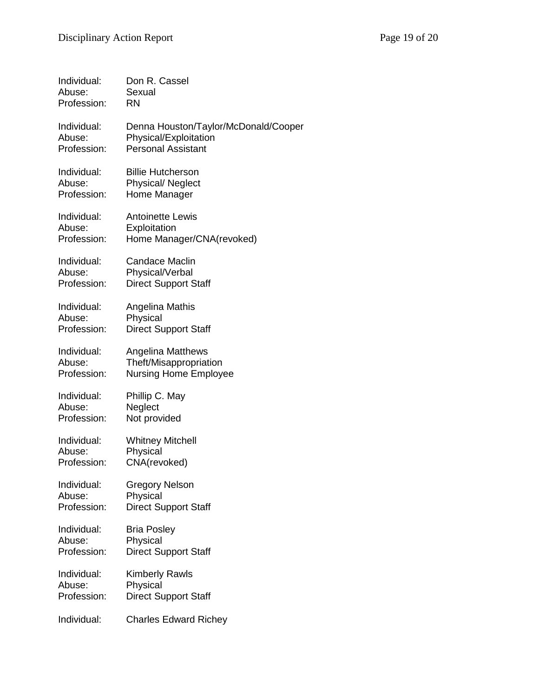| Individual: | Don R. Cassel                        |
|-------------|--------------------------------------|
| Abuse:      | Sexual                               |
| Profession: | RN                                   |
| Individual: | Denna Houston/Taylor/McDonald/Cooper |
| Abuse:      | Physical/Exploitation                |
| Profession: | <b>Personal Assistant</b>            |
| Individual: | <b>Billie Hutcherson</b>             |
| Abuse:      | <b>Physical/ Neglect</b>             |
| Profession: | Home Manager                         |
| Individual: | <b>Antoinette Lewis</b>              |
| Abuse:      | Exploitation                         |
| Profession: | Home Manager/CNA(revoked)            |
| Individual: | <b>Candace Maclin</b>                |
| Abuse:      | Physical/Verbal                      |
| Profession: | <b>Direct Support Staff</b>          |
| Individual: | Angelina Mathis                      |
| Abuse:      | Physical                             |
| Profession: | <b>Direct Support Staff</b>          |
| Individual: | <b>Angelina Matthews</b>             |
| Abuse:      | Theft/Misappropriation               |
| Profession: | <b>Nursing Home Employee</b>         |
| Individual: | Phillip C. May                       |
| Abuse:      | Neglect                              |
| Profession: | Not provided                         |
| Individual: | <b>Whitney Mitchell</b>              |
| Abuse:      | Physical                             |
| Profession: | CNA(revoked)                         |
| Individual: | <b>Gregory Nelson</b>                |
| Abuse:      | Physical                             |
| Profession: | <b>Direct Support Staff</b>          |
| Individual: | <b>Bria Posley</b>                   |
| Abuse:      | Physical                             |
| Profession: | <b>Direct Support Staff</b>          |
| Individual: | <b>Kimberly Rawls</b>                |
| Abuse:      | Physical                             |
| Profession: | <b>Direct Support Staff</b>          |
| Individual: | <b>Charles Edward Richey</b>         |